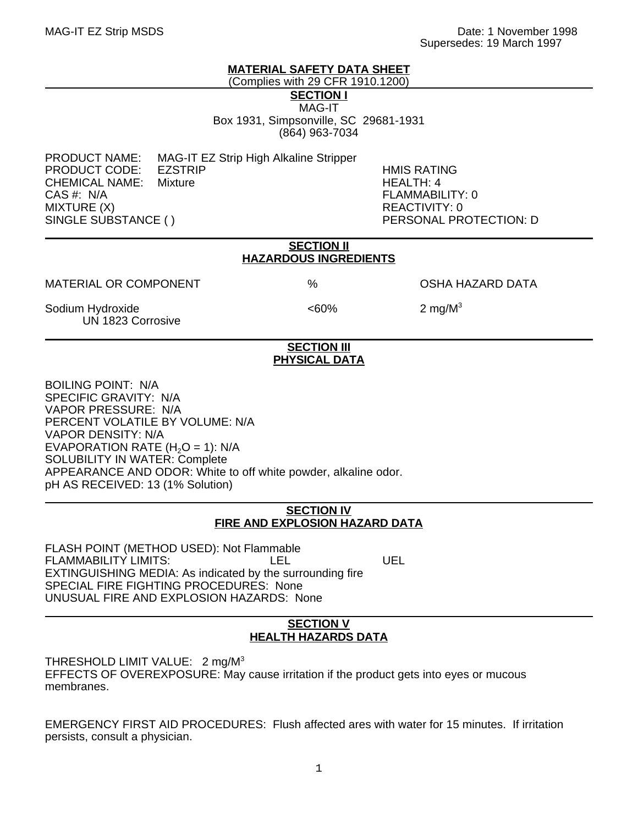#### MAG-IT EZ Strip MSDS **Date: 1 November 1998** Supersedes: 19 March 1997

### **MATERIAL SAFETY DATA SHEET**

(Complies with 29 CFR 1910.1200)

**SECTION I**

MAG-IT Box 1931, Simpsonville, SC 29681-1931 (864) 963-7034

PRODUCT NAME: MAG-IT EZ Strip High Alkaline Stripper PRODUCT CODE: EZSTRIP<br>CHEMICAL NAME: Mixture CHEMICAL HEALTH: 4 CHEMICAL NAME: Mixture **HEALTH: 4** CAS #: N/A FLAMMABILITY: 0 MIXTURE (X) ALL AND REACTIVITY: 0 SINGLE SUBSTANCE ( ) THE RESONAL PROTECTION: D

### **SECTION II HAZARDOUS INGREDIENTS**

MATERIAL OR COMPONENT  $\%$  % OSHA HAZARD DATA

Sodium Hydroxide  $\leq 60\%$  2 mg/M<sup>3</sup> UN 1823 Corrosive

## **SECTION III PHYSICAL DATA**

BOILING POINT: N/A SPECIFIC GRAVITY: N/A VAPOR PRESSURE: N/A PERCENT VOLATILE BY VOLUME: N/A VAPOR DENSITY: N/A EVAPORATION RATE  $(H<sub>2</sub>O = 1)$ : N/A SOLUBILITY IN WATER: Complete APPEARANCE AND ODOR: White to off white powder, alkaline odor. pH AS RECEIVED: 13 (1% Solution)

### **SECTION IV FIRE AND EXPLOSION HAZARD DATA**

FLASH POINT (METHOD USED): Not Flammable FLAMMABILITY LIMITS: LEL LEL UEL EXTINGUISHING MEDIA: As indicated by the surrounding fire SPECIAL FIRE FIGHTING PROCEDURES: None UNUSUAL FIRE AND EXPLOSION HAZARDS: None

#### **SECTION V HEALTH HAZARDS DATA**

THRESHOLD LIMIT VALUE: 2 mg/M<sup>3</sup> EFFECTS OF OVEREXPOSURE: May cause irritation if the product gets into eyes or mucous membranes.

EMERGENCY FIRST AID PROCEDURES: Flush affected ares with water for 15 minutes. If irritation persists, consult a physician.